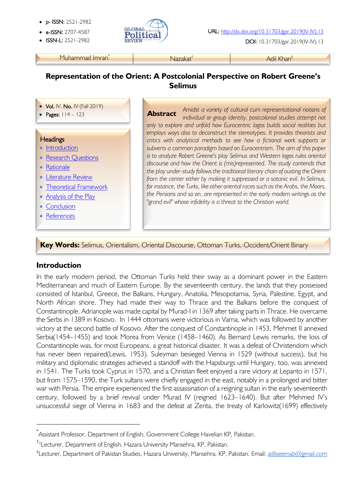- p- ISSN: 2521-2982
- 
- 



• ISSN-L: 2521-2982 DOI: 10.31703/gpr.2019(IV-IV).13

Muhammad Imran<sup>\*</sup> Nazakat<sup>†</sup> Nazakat<sup>†</sup> Adil Khan<sup>‡</sup>

# **Representation of the Orient: A Postcolonial Perspective on Robert Greene's Selimus**

- Vol. IV, No. IV (Fall 2019)
- Pages:  $114 123$

#### į **Headings**

- Introduction
- Research Questions
- Rationale
- Literature Review
- Theoretical Framework
- Analysis of the Play
- Conclusion
- References

*Amidst a variety of cultural cum representational notions of individual or group identity, postcolonial studies attempt not only to explore and unfold how Eurocentric logos builds social realities but employs ways also to deconstruct the stereotypes. It provides theorists and critics with analytical methods to see how a fictional work supports or subverts a common paradigm based on Eurocentrism. The aim of this paper is to analyze Robert Greene's play Selimus and Western logos rules oriental discourse and how the Orient is (mis)represented. The study contends that the play under-study follows the traditional literary chain of ousting the Orient*  from the center either by making it suppressed or a satanic evil. In Selimus, *for instance, the Turks, like other oriental races such as the Arabs, the Moors, the Persians and so on, are represented in the early modern writings as the "grand evil" whose infidelity is a threat to the Christian world.* **Abstract**

**Key Words:** Selimus, Orientalism, Oriental Discourse, Ottoman Turks, Occident/Orient Binary

#### **Introduction**

In the early modern period, the Ottoman Turks held their sway as a dominant power in the Eastern Mediterranean and much of Eastern Europe. By the seventeenth century, the lands that they possessed consisted of Istanbul, Greece, the Balkans, Hungary, Anatolia, Mesopotamia, Syria, Palestine, Egypt, and North African shore. They had made their way to Thrace and the Balkans before the conquest of Constantinople. Adrianople was made capital by Murad-I in 1369 after taking parts in Thrace. He overcame the Serbs in 1389 in Kosovo. In 1444 ottomans were victorious in Varna, which was followed by another victory at the second battle of Kosovo. After the conquest of Constantinople in 1453, Mehmet II annexed Serbia(1454–1455) and took Morea from Venice (1458–1460). As Bernard Lewis remarks, the loss of Constantinople was, for most Europeans, a great historical disaster. It was a defeat of Christendom which has never been repaired(Lewis, 1953). Suleyman besieged Vienna in 1529 (without success), but his military and diplomatic strategies achieved a standoff with the Hapsburgs until Hungary, too, was annexed in 1541. The Turks took Cyprus in 1570, and a Christian fleet enjoyed a rare victory at Lepanto in 1571, but from 1575–1590, the Turk sultans were chiefly engaged in the east, notably in a prolonged and bitter war with Persia. The empire experienced the first assassination of a reigning sultan in the early seventeenth century, followed by a brief revival under Murad IV (reigned 1623–1640). But after Mehmed IV's unsuccessful siege of Vienna in 1683 and the defeat at Zenta, the treaty of Karlowitz(1699) effectively

<sup>†</sup>†Lecturer, Department of English, Hazara University Mansehra, KP, Pakistan.

<sup>\*</sup> Assistant Professor, Department of English, Government College Havelian KP, Pakistan.

<sup>‡</sup> Lecturer, Department of Pakistan Studies, Hazara University, Mansehra, KP, Pakistan. Email: adilseemab@gmail.com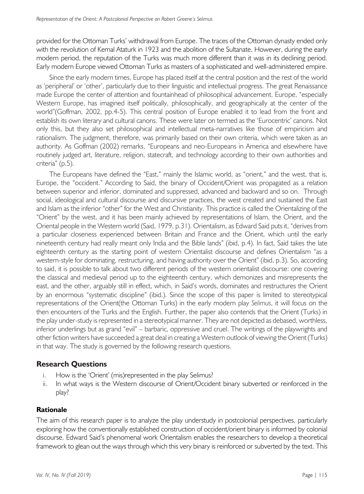provided for the Ottoman Turks' withdrawal from Europe. The traces of the Ottoman dynasty ended only with the revolution of Kemal Ataturk in 1923 and the abolition of the Sultanate. However, during the early modern period, the reputation of the Turks was much more different than it was in its declining period. Early modern Europe viewed Ottoman Turks as masters of a sophisticated and well-administered empire.

Since the early modern times, Europe has placed itself at the central position and the rest of the world as 'peripheral' or 'other', particularly due to their linguistic and intellectual progress. The great Renaissance made Europe the center of attention and fountainhead of philosophical advancement. Europe, "especially Western Europe, has imagined itself politically, philosophically, and geographically at the center of the world"(Goffman, 2002, pp.4-5). This central position of Europe enabled it to lead from the front and establish its own literary and cultural canons. These were later on termed as the 'Eurocentric' canons. Not only this, but they also set philosophical and intellectual meta-narratives like those of empiricism and rationalism. The judgment, therefore, was primarily based on their own criteria, which were taken as an authority. As Goffman (2002) remarks, "Europeans and neo-Europeans in America and elsewhere have routinely judged art, literature, religion, statecraft, and technology according to their own authorities and criteria" (p.5).

The Europeans have defined the "East," mainly the Islamic world, as "orient," and the west, that is, Europe, the "occident." According to Said, the binary of Occident/Orient was propagated as a relation between superior and inferior, dominated and suppressed, advanced and backward and so on. Through social, ideological and cultural discourse and discursive practices, the west created and sustained the East and Islam as the inferior "other" for the West and Christianity. This practice is called the Orientalizing of the "Orient" by the west, and it has been mainly achieved by representations of Islam, the Orient, and the Oriental people in the Western world (Said, 1979, p.31). Orientalism, as Edward Said puts it, "derives from a particular closeness experienced between Britain and France and the Orient, which until the early nineteenth century had really meant only India and the Bible lands" (ibid, p.4). In fact, Said takes the late eighteenth century as the starting point of western Orientalist discourse and defines Orientalism "as a western-style for dominating, restructuring, and having authority over the Orient" (ibid, p.3). So, according to said, it is possible to talk about two different periods of the western orientalist discourse: one covering the classical and medieval period up to the eighteenth century, which demonizes and misrepresents the east, and the other, arguably still in effect, which, in Said's words, dominates and restructures the Orient by an enormous "systematic discipline" (ibid.). Since the scope of this paper is limited to stereotypical representations of the Orient(the Ottoman Turks) in the early modern play *Selimus*, it will focus on the then encounters of the Turks and the English. Further, the paper also contends that the Orient (Turks) in the play under-study is represented in a stereotypical manner. They are not depicted as debased, worthless, inferior underlings but as grand "evil" – barbaric, oppressive and cruel. The writings of the playwrights and other fiction writers have succeeded a great deal in creating a Western outlook of viewing the Orient (Turks) in that way. The study is governed by the following research questions.

#### **Research Questions**

- i. How is the 'Orient' (mis)represented in the play Selimus?
- ii. In what ways is the Western discourse of Orient/Occident binary subverted or reinforced in the play?

#### **Rationale**

The aim of this research paper is to analyze the play understudy in postcolonial perspectives, particularly exploring how the conventionally established construction of occident/orient binary is informed by colonial discourse. Edward Said's phenomenal work Orientalism enables the researchers to develop a theoretical framework to glean out the ways through which this very binary is reinforced or subverted by the text. This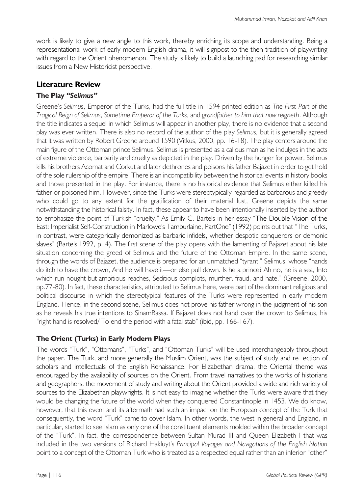work is likely to give a new angle to this work, thereby enriching its scope and understanding. Being a representational work of early modern English drama, it will signpost to the then tradition of playwriting with regard to the Orient phenomenon. The study is likely to build a launching pad for researching similar issues from a New Historicist perspective.

### **Literature Review**

#### **The Play** *"Selimus"*

Greene's *Selimus*, Emperor of the Turks, had the full title in 1594 printed edition as *The First Part of the Tragical Reign of Selimus*, *Sometime Emperor of the Turks*, and *grandfather to him that now reigneth*. Although the title indicates a sequel in which Selimus will appear in another play, there is no evidence that a second play was ever written. There is also no record of the author of the play *Selimus,* but it is generally agreed that it was written by Robert Greene around 1590 (Vitkus, 2000, pp. 16-18). The play centers around the main figure of the Ottoman prince Selimus. Selimus is presented as a callous man as he indulges in the acts of extreme violence, barbarity and cruelty as depicted in the play. Driven by the hunger for power, Selimus kills his brothers Acomat and Corkut and later dethrones and poisons his father Bajazet in order to get hold of the sole rulership of the empire. There is an incompatibility between the historical events in history books and those presented in the play. For instance, there is no historical evidence that Selimus either killed his father or poisoned him. However, since the Turks were stereotypically regarded as barbarous and greedy who could go to any extent for the gratification of their material lust, Greene depicts the same notwithstanding the historical falsity. In fact, these appear to have been intentionally inserted by the author to emphasize the point of Turkish "cruelty." As Emily C. Bartels in her essay "The Double Vision of the East: Imperialist Self-Construction in Marlowe's Tamburlaine, PartOne" (1992) points out that "The Turks, in contrast, were categorically demonized as barbaric infidels, whether despotic conquerors or demonic slaves" (Bartels, 1992, p. 4). The first scene of the play opens with the lamenting of Bajazet about his late situation concerning the greed of Selimus and the future of the Ottoman Empire. In the same scene, through the words of Bajazet, the audience is prepared for an unmatched "tyrant," Selimus, whose "hands do itch to have the crown, And he will have it—or else pull down. Is he a prince? Ah no, he is a sea, Into which run nought but ambitious reaches, Seditious complots, murther, fraud, and hate." (Greene, 2000, pp.77-80). In fact, these characteristics, attributed to Selimus here, were part of the dominant religious and political discourse in which the stereotypical features of the Turks were represented in early modern England. Hence, in the second scene, Selimus does not prove his father wrong in the judgment of his son as he reveals his true intentions to SinamBassa. If Bajazet does not hand over the crown to Selimus, his "right hand is resolved/ To end the period with a fatal stab" (ibid, pp. 166-167).

# **The Orient (Turks) in Early Modern Plays**

The words "Turk", "Ottomans", "Turks", and "Ottoman Turks" will be used interchangeably throughout the paper. The Turk, and more generally the Muslim Orient, was the subject of study and reection of scholars and intellectuals of the English Renaissance. For Elizabethan drama, the Oriental theme was encouraged by the availability of sources on the Orient. From travel narratives to the works of historians and geographers, the movement of study and writing about the Orient provided a wide and rich variety of sources to the Elizabethan playwrights. It is not easy to imagine whether the Turks were aware that they would be changing the future of the world when they conquered Constantinople in 1453. We do know, however, that this event and its aftermath had such an impact on the European concept of the Turk that consequently, the word "Turk" came to cover Islam. In other words, the west in general and England, in particular, started to see Islam as only one of the constituent elements molded within the broader concept of the "Turk". In fact, the correspondence between Sultan Murad III and Queen Elizabeth I that was included in the two versions of Richard Hakluyt's *Principal Voyages and Navigations of the English Nation* point to a concept of the Ottoman Turk who is treated as a respected equal rather than an inferior "other"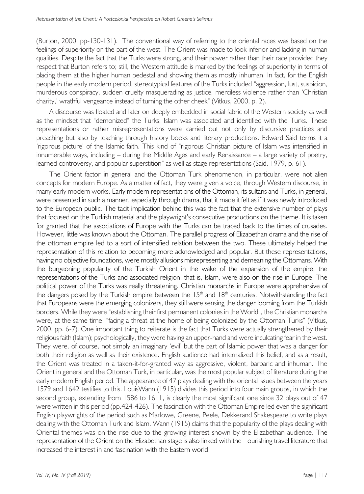(Burton, 2000, pp-130-131). The conventional way of referring to the oriental races was based on the feelings of superiority on the part of the west. The Orient was made to look inferior and lacking in human qualities. Despite the fact that the Turks were strong, and their power rather than their race provided they respect that Burton refers to; still, the Western attitude is marked by the feelings of superiority in terms of placing them at the higher human pedestal and showing them as mostly inhuman. In fact, for the English people in the early modern period, stereotypical features of the Turks included "aggression, lust, suspicion, murderous conspiracy, sudden cruelty masquerading as justice, merciless violence rather than 'Christian charity,' wrathful vengeance instead of turning the other cheek" (Vitkus, 2000, p. 2).

A discourse was floated and later on deeply embedded in social fabric of the Western society as well as the mindset that "demonized" the Turks. Islam was associated and identified with the Turks. These representations or rather misrepresentations were carried out not only by discursive practices and preaching but also by teaching through history books and literary productions. Edward Said terms it a 'rigorous picture' of the Islamic faith. This kind of "rigorous Christian picture of Islam was intensified in innumerable ways, including – during the Middle Ages and early Renaissance – a large variety of poetry, learned controversy, and popular superstition" as well as stage representations (Said, 1979, p. 61).

The Orient factor in general and the Ottoman Turk phenomenon, in particular, were not alien concepts for modern Europe. As a matter of fact, they were given a voice, through Western discourse, in many early modern works. Early modern representations of the Ottoman, its sultans and Turks, in general, were presented in such a manner, especially through drama, that it made it felt as if it was newly introduced to the European public. The tacit implication behind this was the fact that the extensive number of plays that focused on the Turkish material and the playwright's consecutive productions on the theme. It is taken for granted that the associations of Europe with the Turks can be traced back to the times of crusades. However, little was known about the Ottoman. The parallel progress of Elizabethan drama and the rise of the ottoman empire led to a sort of intensified relation between the two. These ultimately helped the representation of this relation to becoming more acknowledged and popular. But these representations, having no objective foundations, were mostly allusions misrepresenting and demeaning the Ottomans. With the burgeoning popularity of the Turkish Orient in the wake of the expansion of the empire, the representations of the Turks and associated religion, that is, Islam, were also on the rise in Europe. The political power of the Turks was really threatening. Christian monarchs in Europe were apprehensive of the dangers posed by the Turkish empire between the  $15<sup>th</sup>$  and  $18<sup>th</sup>$  centuries. Notwithstanding the fact that Europeans were the emerging colonizers, they still were sensing the danger looming from the Turkish borders. While they were "establishing their first permanent colonies in the World", the Christian monarchs were, at the same time, "facing a threat at the home of being colonized by the Ottoman Turks" (Vitkus, 2000, pp. 6-7). One important thing to reiterate is the fact that Turks were actually strengthened by their religious faith (Islam); psychologically, they were having an upper-hand and were inculcating fear in the west. They were, of course, not simply an imaginary 'evil' but the part of Islamic power that was a danger for both their religion as well as their existence. English audience had internalized this belief, and as a result, the Orient was treated in a taken-it-for-granted way as aggressive, violent, barbaric and inhuman. The Orient in general and the Ottoman Turk, in particular, was the most popular subject of literature during the early modern English period. The appearance of 47 plays dealing with the oriental issues between the years 1579 and 1642 testifies to this. LouisWann (1915) divides this period into four main groups, in which the second group, extending from 1586 to 1611, is clearly the most significant one since 32 plays out of 47 were written in this period (pp.424-426). The fascination with the Ottoman Empire led even the significant English playwrights of the period such as Marlowe, Greene, Peele, Dekkerand Shakespeare to write plays dealing with the Ottoman Turk and Islam. Wann (1915) claims that the popularity of the plays dealing with Oriental themes was on the rise due to the growing interest shown by the Elizabethan audience. The representation of the Orient on the Elizabethan stage is also linked with the ourishing travel literature that increased the interest in and fascination with the Eastern world.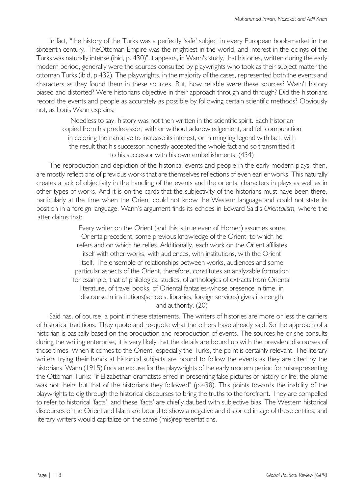In fact, "the history of the Turks was a perfectly 'safe' subject in every European book-market in the sixteenth century. TheOttoman Empire was the mightiest in the world, and interest in the doings of the Turks was naturally intense (ibid, p. 430)".It appears, in Wann's study, that histories, written during the early modern period, generally were the sources consulted by playwrights who took as their subject matter the ottoman Turks (ibid, p.432). The playwrights, in the majority of the cases, represented both the events and characters as they found them in these sources. But, how reliable were these sources? Wasn't history biased and distorted? Were historians objective in their approach through and through? Did the historians record the events and people as accurately as possible by following certain scientific methods? Obviously not, as Louis Wann explains:

Needless to say, history was not then written in the scientific spirit. Each historian copied from his predecessor, with or without acknowledgement, and felt compunction in coloring the narrative to increase its interest, or in mingling legend with fact, with the result that his successor honestly accepted the whole fact and so transmitted it to his successor with his own embellishments. (434)

The reproduction and depiction of the historical events and people in the early modern plays, then, are mostly reflections of previous works that are themselves reflections of even earlier works. This naturally creates a lack of objectivity in the handling of the events and the oriental characters in plays as well as in other types of works. And it is on the cards that the subjectivity of the historians must have been there, particularly at the time when the Orient could not know the Western language and could not state its position in a foreign language. Wann's argument finds its echoes in Edward Said's *Orientalism,* where the latter claims that:

> Every writer on the Orient (and this is true even of Homer) assumes some Orientalprecedent, some previous knowledge of the Orient, to which he refers and on which he relies. Additionally, each work on the Orient affiliates itself with other works, with audiences, with institutions, with the Orient itself. The ensemble of relationships between works, audiences and some particular aspects of the Orient, therefore, constitutes an analyzable formation for example, that of philological studies, of anthologies of extracts from Oriental literature, of travel books, of Oriental fantasies-whose presence in time, in discourse in institutions(schools, libraries, foreign services) gives it strength and authority. (20)

Said has, of course, a point in these statements. The writers of histories are more or less the carriers of historical traditions. They quote and re-quote what the others have already said. So the approach of a historian is basically based on the production and reproduction of events. The sources he or she consults during the writing enterprise, it is very likely that the details are bound up with the prevalent discourses of those times. When it comes to the Orient, especially the Turks, the point is certainly relevant. The literary writers trying their hands at historical subjects are bound to follow the events as they are cited by the historians. Wann (1915) finds an excuse for the playwrights of the early modern period for misrepresenting the Ottoman Turks: "if Elizabethan dramatists erred in presenting false pictures of history or life, the blame was not theirs but that of the historians they followed" (p.438). This points towards the inability of the playwrights to dig through the historical discourses to bring the truths to the forefront. They are compelled to refer to historical 'facts', and these 'facts' are chiefly daubed with subjective bias. The Western historical discourses of the Orient and Islam are bound to show a negative and distorted image of these entities, and literary writers would capitalize on the same (mis)representations.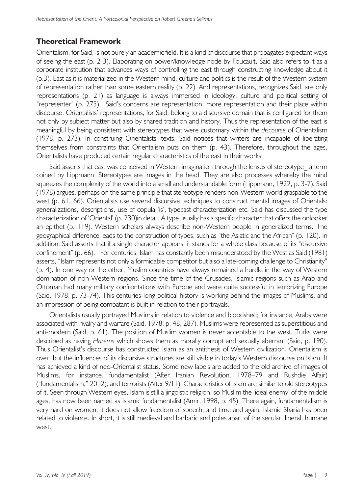# **Theoretical Framework**

Orientalism, for Said, is not purely an academic field. It is a kind of discourse that propagates expectant ways of seeing the east (p. 2-3). Elaborating on power/knowledge node by Foucault, Said also refers to it as a corporate institution that advances ways of controlling the east through constructing knowledge about it (p.3). East as it is materialized in the Western mind, culture and politics is the result of the Western system of representation rather than some eastern reality (p. 22). And representations, recognizes Said, are only representations (p. 21) as language is always immersed in ideology, culture and political setting of "representer" (p. 273). Said's concerns are representation, more representation and their place within discourse. Orientalists' representations, for Said, belong to a discursive domain that is configured for them not only by subject matter but also by shared tradition and history. Thus the representation of the east is meaningful by being consistent with stereotypes that were customary within *the discourse* of Orientalism (1978, p. 273). In construing Orientalists' texts, Said notices that writers are incapable of liberating themselves from constraints that Orientalism puts on them (p. 43). Therefore, throughout the ages, Orientalists have produced certain regular characteristics of the east in their works.

Said asserts that east was conceived in Western imagination through the lenses of stereotype a term coined by Lippmann. Stereotypes are images in the head. They are also processes whereby the mind squeezes the complexity of the world into a small and understandable form (Lippmann, 1922, p. 3-7). Said (1978) argues, perhaps on the same principle that stereotype renders non-Western world graspable to the west (p. 61, 66). Orientalists use several discursive techniques to construct mental images of Orientals: generalizations, descriptions, use of copula 'is', typecast characterization etc. Said has discussed the type characterization of 'Oriental' (p. 230)in detail. A type usually has a specific character that offers the onlooker an epithet (p. 119). Western scholars always describe non-Western people in generalized terms. The geographical difference leads to the construction of types, such as "the Asiatic and the African" (p. 120). In addition, Said asserts that if a single character appears, it stands for a whole class because of its "discursive confinement" (p. 66). For centuries, Islam has constantly been misunderstood by the West as Said (1981) asserts, "Islam represents not only a formidable competitor but also a late-coming challenge to Christianity" (p. 4). In one way or the other, Muslim countries have always remained a hurdle in the way of Western domination of non-Western regions. Since the time of the Crusades, Islamic regions such as Arab and Ottoman had many military confrontations with Europe and were quite successful in terrorizing Europe (Said, 1978, p. 73-74). This centuries-long political history is working behind the images of Muslims, and an impression of being combatant is built in relation to their portrayals.

Orientalists usually portrayed Muslims in relation to violence and bloodshed; for instance, Arabs were associated with rivalry and warfare (Said, 1978, p. 48, 287). Muslims were represented as superstitious and anti-modern (Said, p. 61). The position of Muslim women is never acceptable to the west. Turks were described as having *Harems* which shows them as morally corrupt and sexually aberrant (Said, p. 190). Thus Orientalist's discourse has constructed Islam as an antithesis of Western civilization. Orientalism is over, but the influences of its discursive structures are still visible in today's Western discourse on Islam. It has achieved a kind of neo-Orientalist status. Some new labels are added to the old archive of images of Muslims, for instance, fundamentalist (After Iranian Revolution, 1978–79 and Rushdie Affair) ("fundamentalism," 2012), and terrorists (After 9/11). Characteristics of Islam are similar to old stereotypes of it. Seen through Western eyes, Islam is still a jingoistic religion, so Muslim the 'ideal enemy' of the middle ages, has now been named as Islamic fundamentalist (Amir, 1998, p. 45). There again, fundamentalism is very hard on women, it does not allow freedom of speech, and time and again, Islamic Sharia has been related to violence. In short, it is still medieval and barbaric and poles apart of the secular, liberal, humane west.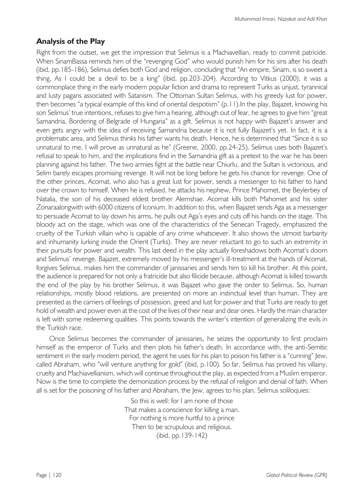# **Analysis of the Play**

Right from the outset, we get the impression that Selimus is a Machiavellian, ready to commit patricide. When SinamBassa reminds him of the "revenging God" who would punish him for his sins after his death (ibid, pp.185-186), Selimus defies both God and religion, concluding that "An empire, Sinam, is so sweet a thing, As I could be a devil to be a king" (ibid, pp.203-204). According to Vitkus (2000), it was a commonplace thing in the early modern popular fiction and drama to represent Turks as unjust, tyrannical and lusty pagans associated with Satanism. The Ottoman Sultan Selimus, with his greedy lust for power, then becomes "a typical example of this kind of oriental despotism" (p.11).In the play, Bajazet, knowing his son Selimus' true intentions, refuses to give him a hearing, although out of fear, he agrees to give him "great Samandria, Bordering of Belgrade of Hungaria" as a gift. Selimus is not happy with Bajazet's answer and even gets angry with the idea of receiving Samandria because it is not fully Bajazet's yet. In fact, it is a problematic area, and Selimus thinks his father wants his death. Hence, he is determined that "Since it is so unnatural to me, I will prove as unnatural as he" (Greene, 2000, pp.24-25). Selimus uses both Bajazet's refusal to speak to him, and the implications find in the Samandria gift as a pretext to the war he has been planning against his father. The two armies fight at the battle near Chiurlu, and the Sultan is victorious, and Selim barely escapes promising revenge. It will not be long before he gets his chance for revenge. One of the other princes, Acomat, who also has a great lust for power, sends a messenger to his father to hand over the crown to himself. When he is refused, he attacks his nephew, Prince Mahomet, the Beylerbey of Natalia, the son of his deceased eldest brother Alemshae. Acomat kills both Mahomet and his sister Zonaraalongwith with 6000 citizens of Iconium. In addition to this, when Bajazet sends Aga as a messenger to persuade Acomat to lay down his arms, he pulls out Aga's eyes and cuts off his hands on the stage. This bloody act on the stage, which was one of the characteristics of the Senecan Tragedy, emphasized the cruelty of the Turkish villain who is capable of any crime whatsoever. It also shows the utmost barbarity and inhumanity lurking inside the Orient (Turks). They are never reluctant to go to such an extremity in their pursuits for power and wealth. This last deed in the play actually foreshadows both Acomat's doom and Selimus' revenge. Bajazet, extremely moved by his messenger's ill-treatment at the hands of Acomat, forgives Selimus, makes him the commander of janissaries and sends him to kill his brother. At this point, the audience is prepared for not only a fratricide but also filicide because, although Acomat is killed towards the end of the play by his brother Selimus, it was Bajazet who gave the order to Selimus. So, human relationships, mostly blood relations, are presented on more an instinctual level than human. They are presented as the carriers of feelings of possession, greed and lust for power and that Turks are ready to get hold of wealth and power even at the cost of the lives of their near and dear ones. Hardly the main character is left with some redeeming qualities. This points towards the writer's intention of generalizing the evils in the Turkish race.

Once Selimus becomes the commander of janissaries, he seizes the opportunity to first proclaim himself as the emperor of Turks and then plots his father's death. In accordance with, the anti-Semitic sentiment in the early modern period, the agent he uses for his plan to poison his father is a "cunning" Jew, called Abraham, who "will venture anything for gold" (ibid, p.100). So far, Selimus has proved his villainy, cruelty and Machiavellianism, which will continue throughout the play, as expected from a Muslim emperor. Now is the time to complete the demonization process by the refusal of religion and denial of faith. When all is set for the poisoning of his father and Abraham, the Jew, agrees to his plan, Selimus soliloquies:

> So this is well: for I am none of those That makes a conscience for killing a man. For nothing is more hurtful to a prince Then to be scrupulous and religious. (ibid, pp.139-142)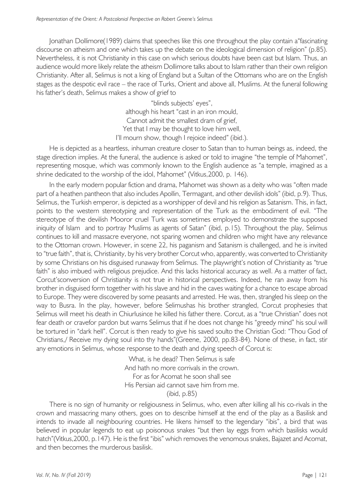Jonathan Dollimore(1989) claims that speeches like this one throughout the play contain a"fascinating discourse on atheism and one which takes up the debate on the ideological dimension of religion" (p.85). Nevertheless, it is not Christianity in this case on which serious doubts have been cast but Islam. Thus, an audience would more likely relate the atheism Dollimore talks about to Islam rather than their own religion Christianity. After all, Selimus is not a king of England but a Sultan of the Ottomans who are on the English stages as the despotic evil race – the race of Turks, Orient and above all, Muslims. At the funeral following his father's death, Selimus makes a show of grief to

> "blinds subjects' eyes", although his heart "cast in an iron mould, Cannot admit the smallest dram of grief, Yet that I may be thought to love him well, I'll mourn show, though I rejoice indeed" (ibid.).

He is depicted as a heartless, inhuman creature closer to Satan than to human beings as, indeed, the stage direction implies. At the funeral, the audience is asked or told to imagine "the temple of Mahomet", representing mosque, which was commonly known to the English audience as "a temple, imagined as a shrine dedicated to the worship of the idol, Mahomet" (Vitkus,2000, p. 146).

In the early modern popular fiction and drama, Mahomet was shown as a deity who was "often made part of a heathen pantheon that also includes Apollin, Termagant, and other devilish idols" (ibid, p.9). Thus, Selimus, the Turkish emperor, is depicted as a worshipper of devil and his religion as Satanism. This, in fact, points to the western stereotyping and representation of the Turk as the embodiment of evil. "The stereotype of the devilish Mooror cruel Turk was sometimes employed to demonstrate the supposed iniquity of Islam and to portray Muslims as agents of Satan" (ibid, p.15). Throughout the play, Selimus continues to kill and massacre everyone, not sparing women and children who might have any relevance to the Ottoman crown. However, in scene 22, his paganism and Satanism is challenged, and he is invited to "true faith", that is, Christianity, by his very brother Corcut who, apparently, was converted to Christianity by some Christians on his disguised runaway from Selimus. The playwright's notion of Christianity as "true faith" is also imbued with religious prejudice. And this lacks historical accuracy as well. As a matter of fact, Corcut'sconversion of Christianity is not true in historical perspectives. Indeed, he ran away from his brother in disguised form together with his slave and hid in the caves waiting for a chance to escape abroad to Europe. They were discovered by some peasants and arrested. He was, then, strangled his sleep on the way to Busra. In the play, however, before Selimushas his brother strangled, Corcut prophesies that Selimus will meet his death in Chiurlusince he killed his father there. Corcut, as a "true Christian" does not fear death or cravefor pardon but warns Selimus that if he does not change his "greedy mind" his soul will be tortured in "dark hell". Corcut is then ready to give his saved soulto the Christian God: "Thou God of Christians,/ Receive my dying soul into thy hands"(Greene, 2000, pp.83-84). None of these, in fact, stir any emotions in Selimus, whose response to the death and dying speech of Corcut is:

> What, is he dead? Then Selimus is safe And hath no more corrivals in the crown. For as for Acomat he soon shall see His Persian aid cannot save him from me. (ibid, p.85)

There is no sign of humanity or religiousness in Selimus, who, even after killing all his co-rivals in the crown and massacring many others, goes on to describe himself at the end of the play as a Basilisk and intends to invade all neighbouring countries. He likens himself to the legendary "ibis", a bird that was believed in popular legends to eat up poisonous snakes "but then lay eggs from which basilisks would hatch"(Vitkus, 2000, p.147). He is the first "ibis" which removes the venomous snakes, Bajazet and Acomat, and then becomes the murderous basilisk.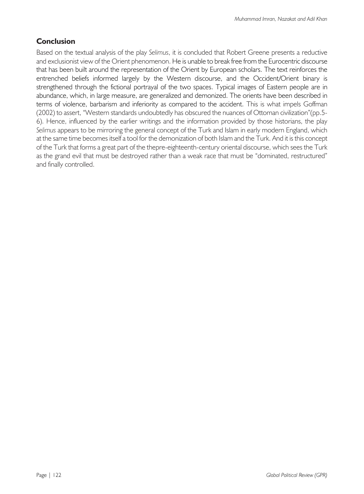# **Conclusion**

Based on the textual analysis of the play *Selimus*, it is concluded that Robert Greene presents a reductive and exclusionist view of the Orient phenomenon. He is unable to break free from the Eurocentric discourse that has been built around the representation of the Orient by European scholars. The text reinforces the entrenched beliefs informed largely by the Western discourse, and the Occident/Orient binary is strengthened through the fictional portrayal of the two spaces. Typical images of Eastern people are in abundance, which, in large measure, are generalized and demonized. The orients have been described in terms of violence, barbarism and inferiority as compared to the accident. This is what impels Goffman (2002) to assert, "Western standards undoubtedly has obscured the nuances of Ottoman civilization"(pp.5- 6). Hence, influenced by the earlier writings and the information provided by those historians, the play *Selimus* appears to be mirroring the general concept of the Turk and Islam in early modern England, which at the same time becomes itself a tool for the demonization of both Islam and the Turk. And it is this concept of the Turk that forms a great part of the thepre-eighteenth-century oriental discourse, which sees the Turk as the grand evil that must be destroyed rather than a weak race that must be "dominated, restructured" and finally controlled.